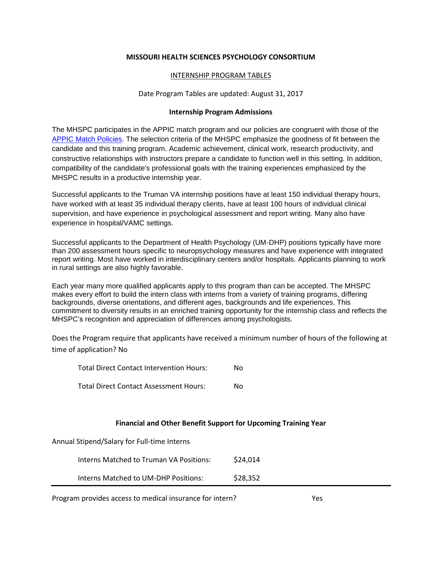## **MISSOURI HEALTH SCIENCES PSYCHOLOGY CONSORTIUM**

## INTERNSHIP PROGRAM TABLES

## Date Program Tables are updated: August 31, 2017

#### **Internship Program Admissions**

The MHSPC participates in the APPIC match program and our policies are congruent with those of the [APPIC Match Policies.](http://www.appic.org/Match/Match-Policies) The selection criteria of the MHSPC emphasize the goodness of fit between the candidate and this training program. Academic achievement, clinical work, research productivity, and constructive relationships with instructors prepare a candidate to function well in this setting. In addition, compatibility of the candidate's professional goals with the training experiences emphasized by the MHSPC results in a productive internship year.

Successful applicants to the Truman VA internship positions have at least 150 individual therapy hours, have worked with at least 35 individual therapy clients, have at least 100 hours of individual clinical supervision, and have experience in psychological assessment and report writing. Many also have experience in hospital/VAMC settings.

Successful applicants to the Department of Health Psychology (UM-DHP) positions typically have more than 200 assessment hours specific to neuropsychology measures and have experience with integrated report writing. Most have worked in interdisciplinary centers and/or hospitals. Applicants planning to work in rural settings are also highly favorable.

Each year many more qualified applicants apply to this program than can be accepted. The MHSPC makes every effort to build the intern class with interns from a variety of training programs, differing backgrounds, diverse orientations, and different ages, backgrounds and life experiences. This commitment to diversity results in an enriched training opportunity for the internship class and reflects the MHSPC's recognition and appreciation of differences among psychologists.

Does the Program require that applicants have received a minimum number of hours of the following at time of application? No

| Total Direct Contact Intervention Hours: | Nο |
|------------------------------------------|----|
| Total Direct Contact Assessment Hours:   | Nο |

## **Financial and Other Benefit Support for Upcoming Training Year**

| Annual Stipend/Salary for Full-time Interns |          |
|---------------------------------------------|----------|
| Interns Matched to Truman VA Positions:     | \$24,014 |
| Interns Matched to UM-DHP Positions:        | \$28,352 |

Program provides access to medical insurance for intern? Yes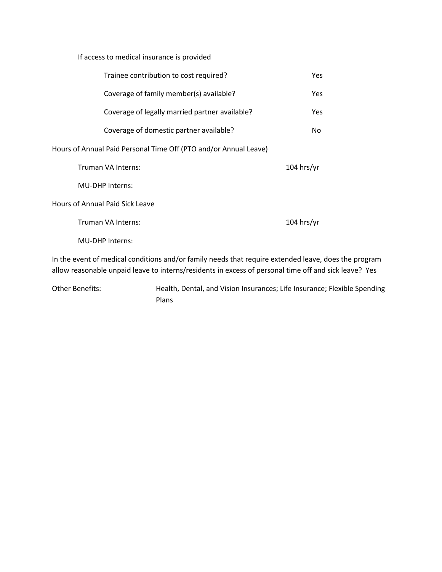# If access to medical insurance is provided

| Trainee contribution to cost required?                           | Yes          |  |  |  |
|------------------------------------------------------------------|--------------|--|--|--|
| Coverage of family member(s) available?                          | Yes.         |  |  |  |
| Coverage of legally married partner available?                   | Yes.         |  |  |  |
| Coverage of domestic partner available?                          | No           |  |  |  |
| Hours of Annual Paid Personal Time Off (PTO and/or Annual Leave) |              |  |  |  |
| Truman VA Interns:                                               | $104$ hrs/yr |  |  |  |
| <b>MU-DHP Interns:</b>                                           |              |  |  |  |
| Hours of Annual Paid Sick Leave                                  |              |  |  |  |
| Truman VA Interns:                                               | $104$ hrs/yr |  |  |  |
| <b>MU-DHP Interns:</b>                                           |              |  |  |  |
|                                                                  |              |  |  |  |

In the event of medical conditions and/or family needs that require extended leave, does the program allow reasonable unpaid leave to interns/residents in excess of personal time off and sick leave? Yes

Other Benefits: Health, Dental, and Vision Insurances; Life Insurance; Flexible Spending Plans